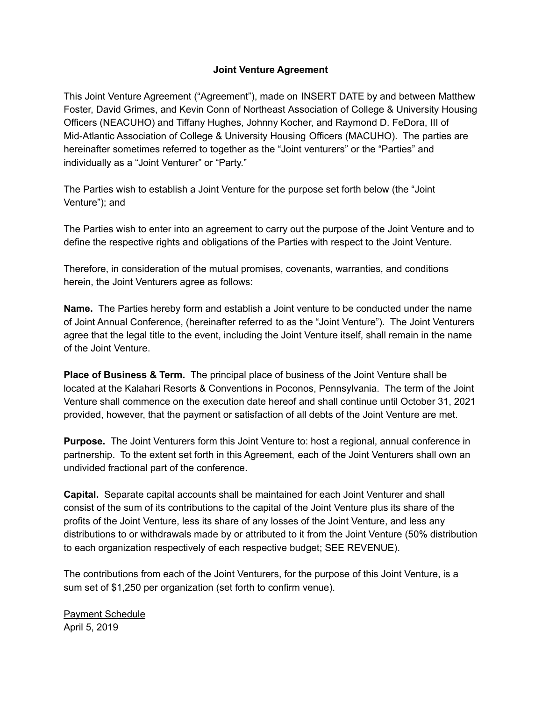## **Joint Venture Agreement**

This Joint Venture Agreement ("Agreement"), made on INSERT DATE by and between Matthew Foster, David Grimes, and Kevin Conn of Northeast Association of College & University Housing Officers (NEACUHO) and Tiffany Hughes, Johnny Kocher, and Raymond D. FeDora, III of Mid-Atlantic Association of College & University Housing Officers (MACUHO). The parties are hereinafter sometimes referred to together as the "Joint venturers" or the "Parties" and individually as a "Joint Venturer" or "Party."

The Parties wish to establish a Joint Venture for the purpose set forth below (the "Joint Venture"); and

The Parties wish to enter into an agreement to carry out the purpose of the Joint Venture and to define the respective rights and obligations of the Parties with respect to the Joint Venture.

Therefore, in consideration of the mutual promises, covenants, warranties, and conditions herein, the Joint Venturers agree as follows:

**Name.** The Parties hereby form and establish a Joint venture to be conducted under the name of Joint Annual Conference, (hereinafter referred to as the "Joint Venture"). The Joint Venturers agree that the legal title to the event, including the Joint Venture itself, shall remain in the name of the Joint Venture.

**Place of Business & Term.** The principal place of business of the Joint Venture shall be located at the Kalahari Resorts & Conventions in Poconos, Pennsylvania. The term of the Joint Venture shall commence on the execution date hereof and shall continue until October 31, 2021 provided, however, that the payment or satisfaction of all debts of the Joint Venture are met.

**Purpose.** The Joint Venturers form this Joint Venture to: host a regional, annual conference in partnership. To the extent set forth in this Agreement, each of the Joint Venturers shall own an undivided fractional part of the conference.

**Capital.** Separate capital accounts shall be maintained for each Joint Venturer and shall consist of the sum of its contributions to the capital of the Joint Venture plus its share of the profits of the Joint Venture, less its share of any losses of the Joint Venture, and less any distributions to or withdrawals made by or attributed to it from the Joint Venture (50% distribution to each organization respectively of each respective budget; SEE REVENUE).

The contributions from each of the Joint Venturers, for the purpose of this Joint Venture, is a sum set of \$1,250 per organization (set forth to confirm venue).

Payment Schedule April 5, 2019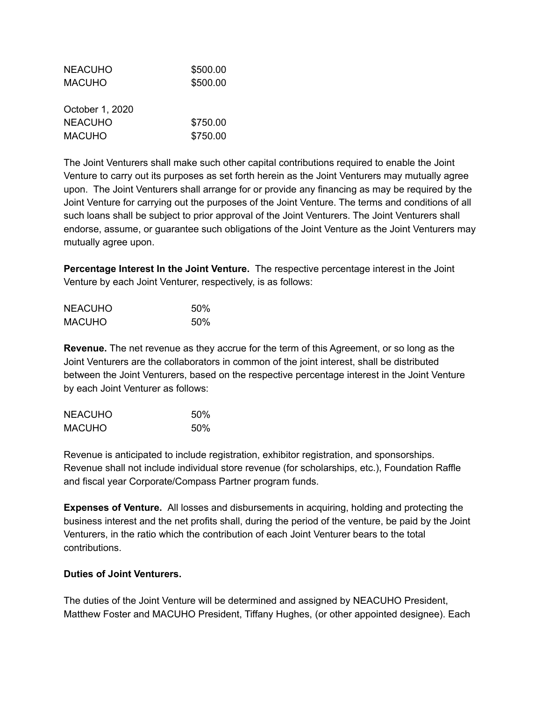| <b>NEACUHO</b>  | \$500.00 |
|-----------------|----------|
| <b>MACUHO</b>   | \$500.00 |
|                 |          |
| October 1, 2020 |          |
| <b>NEACUHO</b>  | \$750.00 |
| <b>MACUHO</b>   | \$750.00 |
|                 |          |

The Joint Venturers shall make such other capital contributions required to enable the Joint Venture to carry out its purposes as set forth herein as the Joint Venturers may mutually agree upon. The Joint Venturers shall arrange for or provide any financing as may be required by the Joint Venture for carrying out the purposes of the Joint Venture. The terms and conditions of all such loans shall be subject to prior approval of the Joint Venturers. The Joint Venturers shall endorse, assume, or guarantee such obligations of the Joint Venture as the Joint Venturers may mutually agree upon.

**Percentage Interest In the Joint Venture.** The respective percentage interest in the Joint Venture by each Joint Venturer, respectively, is as follows:

| <b>NEACUHO</b> | 50% |
|----------------|-----|
| <b>MACUHO</b>  | 50% |

**Revenue.** The net revenue as they accrue for the term of this Agreement, or so long as the Joint Venturers are the collaborators in common of the joint interest, shall be distributed between the Joint Venturers, based on the respective percentage interest in the Joint Venture by each Joint Venturer as follows:

| <b>NEACUHO</b> | 50% |
|----------------|-----|
| <b>MACUHO</b>  | 50% |

Revenue is anticipated to include registration, exhibitor registration, and sponsorships. Revenue shall not include individual store revenue (for scholarships, etc.), Foundation Raffle and fiscal year Corporate/Compass Partner program funds.

**Expenses of Venture.** All losses and disbursements in acquiring, holding and protecting the business interest and the net profits shall, during the period of the venture, be paid by the Joint Venturers, in the ratio which the contribution of each Joint Venturer bears to the total contributions.

## **Duties of Joint Venturers.**

The duties of the Joint Venture will be determined and assigned by NEACUHO President, Matthew Foster and MACUHO President, Tiffany Hughes, (or other appointed designee). Each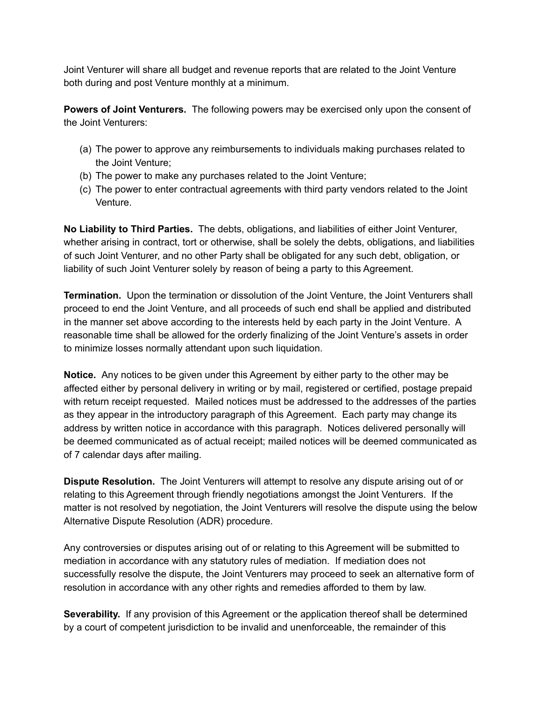Joint Venturer will share all budget and revenue reports that are related to the Joint Venture both during and post Venture monthly at a minimum.

**Powers of Joint Venturers.** The following powers may be exercised only upon the consent of the Joint Venturers:

- (a) The power to approve any reimbursements to individuals making purchases related to the Joint Venture;
- (b) The power to make any purchases related to the Joint Venture;
- (c) The power to enter contractual agreements with third party vendors related to the Joint Venture.

**No Liability to Third Parties.** The debts, obligations, and liabilities of either Joint Venturer, whether arising in contract, tort or otherwise, shall be solely the debts, obligations, and liabilities of such Joint Venturer, and no other Party shall be obligated for any such debt, obligation, or liability of such Joint Venturer solely by reason of being a party to this Agreement.

**Termination.** Upon the termination or dissolution of the Joint Venture, the Joint Venturers shall proceed to end the Joint Venture, and all proceeds of such end shall be applied and distributed in the manner set above according to the interests held by each party in the Joint Venture. A reasonable time shall be allowed for the orderly finalizing of the Joint Venture's assets in order to minimize losses normally attendant upon such liquidation.

**Notice.** Any notices to be given under this Agreement by either party to the other may be affected either by personal delivery in writing or by mail, registered or certified, postage prepaid with return receipt requested. Mailed notices must be addressed to the addresses of the parties as they appear in the introductory paragraph of this Agreement. Each party may change its address by written notice in accordance with this paragraph. Notices delivered personally will be deemed communicated as of actual receipt; mailed notices will be deemed communicated as of 7 calendar days after mailing.

**Dispute Resolution.** The Joint Venturers will attempt to resolve any dispute arising out of or relating to this Agreement through friendly negotiations amongst the Joint Venturers. If the matter is not resolved by negotiation, the Joint Venturers will resolve the dispute using the below Alternative Dispute Resolution (ADR) procedure.

Any controversies or disputes arising out of or relating to this Agreement will be submitted to mediation in accordance with any statutory rules of mediation. If mediation does not successfully resolve the dispute, the Joint Venturers may proceed to seek an alternative form of resolution in accordance with any other rights and remedies afforded to them by law.

**Severability.** If any provision of this Agreement or the application thereof shall be determined by a court of competent jurisdiction to be invalid and unenforceable, the remainder of this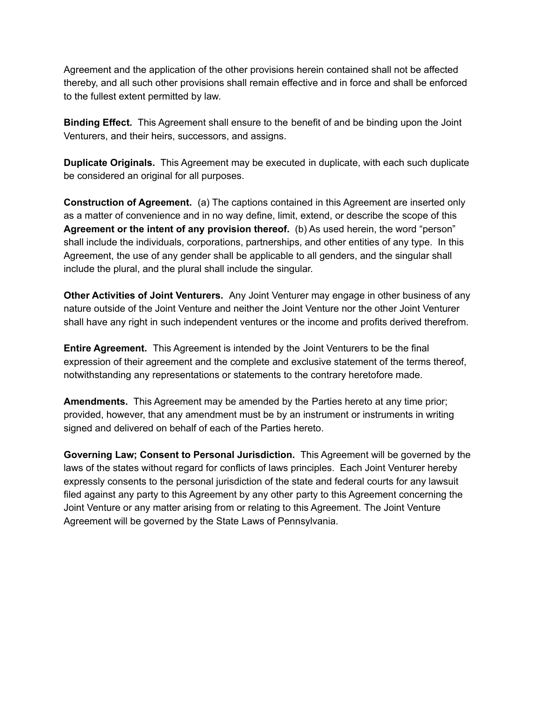Agreement and the application of the other provisions herein contained shall not be affected thereby, and all such other provisions shall remain effective and in force and shall be enforced to the fullest extent permitted by law.

**Binding Effect.** This Agreement shall ensure to the benefit of and be binding upon the Joint Venturers, and their heirs, successors, and assigns.

**Duplicate Originals.** This Agreement may be executed in duplicate, with each such duplicate be considered an original for all purposes.

**Construction of Agreement.** (a) The captions contained in this Agreement are inserted only as a matter of convenience and in no way define, limit, extend, or describe the scope of this **Agreement or the intent of any provision thereof.** (b) As used herein, the word "person" shall include the individuals, corporations, partnerships, and other entities of any type. In this Agreement, the use of any gender shall be applicable to all genders, and the singular shall include the plural, and the plural shall include the singular.

**Other Activities of Joint Venturers.** Any Joint Venturer may engage in other business of any nature outside of the Joint Venture and neither the Joint Venture nor the other Joint Venturer shall have any right in such independent ventures or the income and profits derived therefrom.

**Entire Agreement.** This Agreement is intended by the Joint Venturers to be the final expression of their agreement and the complete and exclusive statement of the terms thereof, notwithstanding any representations or statements to the contrary heretofore made.

**Amendments.** This Agreement may be amended by the Parties hereto at any time prior; provided, however, that any amendment must be by an instrument or instruments in writing signed and delivered on behalf of each of the Parties hereto.

**Governing Law; Consent to Personal Jurisdiction.** This Agreement will be governed by the laws of the states without regard for conflicts of laws principles. Each Joint Venturer hereby expressly consents to the personal jurisdiction of the state and federal courts for any lawsuit filed against any party to this Agreement by any other party to this Agreement concerning the Joint Venture or any matter arising from or relating to this Agreement. The Joint Venture Agreement will be governed by the State Laws of Pennsylvania.